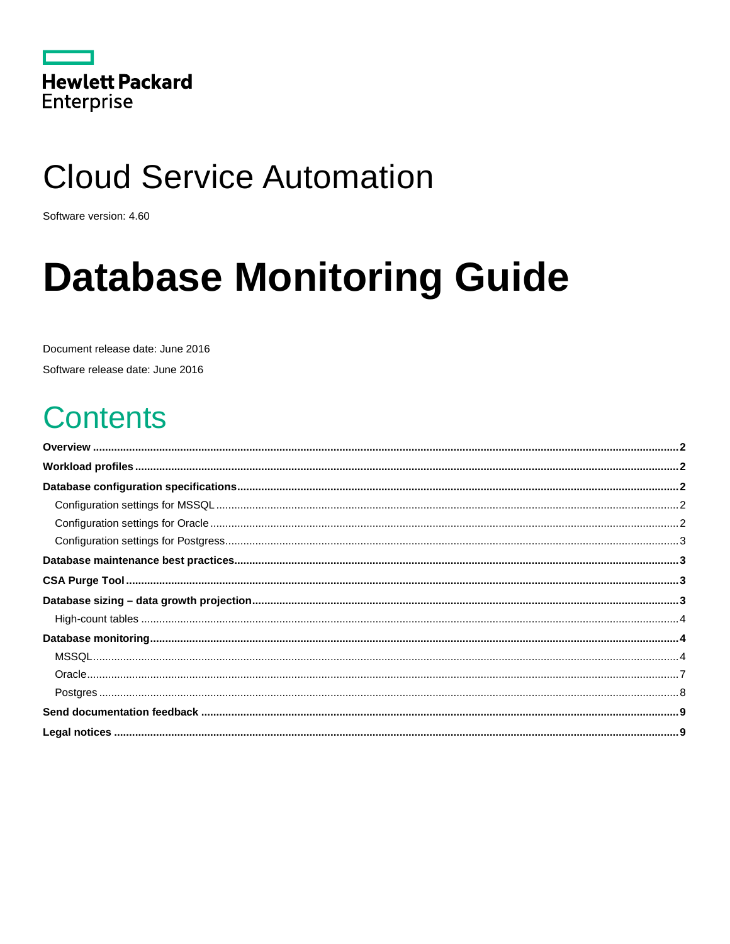|                   | <b>Hewlett Packard</b> |
|-------------------|------------------------|
| <b>Enterprise</b> |                        |

# **Cloud Service Automation**

Software version: 4.60

# **Database Monitoring Guide**

Document release date: June 2016

Software release date: June 2016

## **Contents**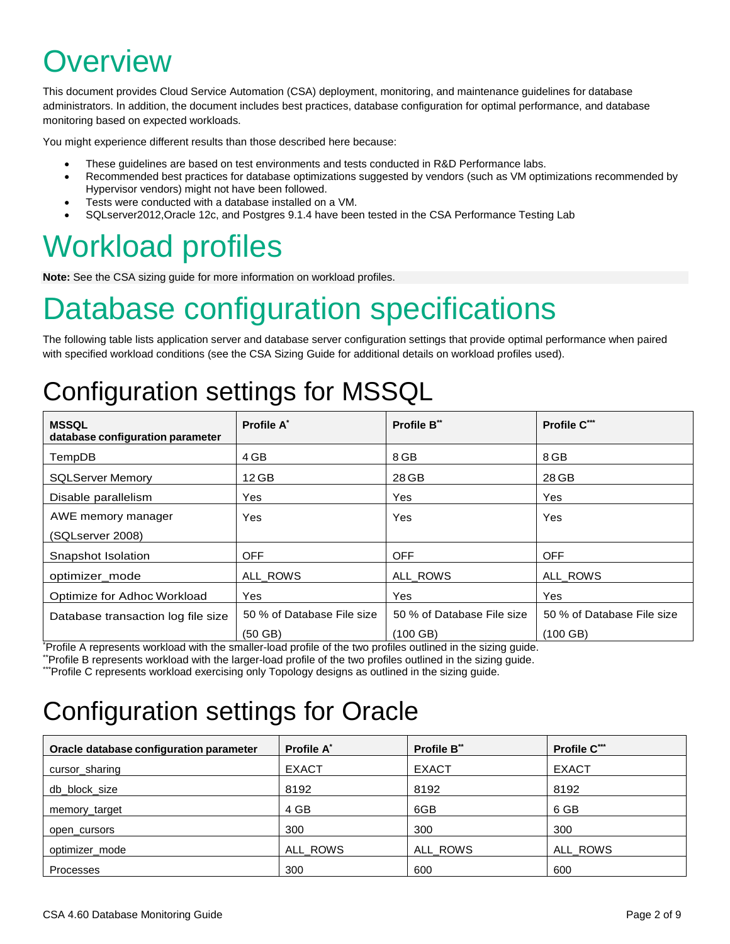## <span id="page-1-0"></span>**Overview**

This document provides Cloud Service Automation (CSA) deployment, monitoring, and maintenance guidelines for database administrators. In addition, the document includes best practices, database configuration for optimal performance, and database monitoring based on expected workloads.

You might experience different results than those described here because:

- These guidelines are based on test environments and tests conducted in R&D Performance labs.
- Recommended best practices for database optimizations suggested by vendors (such as VM optimizations recommended by Hypervisor vendors) might not have been followed.
- Tests were conducted with a database installed on a VM.
- SQLserver2012,Oracle 12c, and Postgres 9.1.4 have been tested in the CSA Performance Testing Lab

# <span id="page-1-1"></span>Workload profiles

**Note:** See the CSA sizing guide for more information on workload profiles.

# <span id="page-1-2"></span>Database configuration specifications

The following table lists application server and database server configuration settings that provide optimal performance when paired with specified workload conditions (see the CSA Sizing Guide for additional details on workload profiles used).

## <span id="page-1-3"></span>Configuration settings for MSSQL

| <b>MSSQL</b><br>database configuration parameter                                                                                                                                                                                 | Profile A*                 | Profile B**                                                                                                                                                                                                                                  | Profile C***               |
|----------------------------------------------------------------------------------------------------------------------------------------------------------------------------------------------------------------------------------|----------------------------|----------------------------------------------------------------------------------------------------------------------------------------------------------------------------------------------------------------------------------------------|----------------------------|
| TempDB                                                                                                                                                                                                                           | 4 GB                       | 8 GB                                                                                                                                                                                                                                         | 8 GB                       |
| <b>SQLServer Memory</b>                                                                                                                                                                                                          | $12$ GB                    | 28 GB                                                                                                                                                                                                                                        | 28 GB                      |
| Disable parallelism                                                                                                                                                                                                              | Yes                        | <b>Yes</b>                                                                                                                                                                                                                                   | Yes                        |
| AWE memory manager                                                                                                                                                                                                               | <b>Yes</b>                 | <b>Yes</b>                                                                                                                                                                                                                                   | <b>Yes</b>                 |
| (SQLserver 2008)                                                                                                                                                                                                                 |                            |                                                                                                                                                                                                                                              |                            |
| Snapshot Isolation                                                                                                                                                                                                               | <b>OFF</b>                 | <b>OFF</b>                                                                                                                                                                                                                                   | <b>OFF</b>                 |
| optimizer mode                                                                                                                                                                                                                   | ALL_ROWS                   | ALL_ROWS                                                                                                                                                                                                                                     | ALL_ROWS                   |
| Optimize for Adhoc Workload                                                                                                                                                                                                      | Yes                        | <b>Yes</b>                                                                                                                                                                                                                                   | Yes                        |
| Database transaction log file size                                                                                                                                                                                               | 50 % of Database File size | 50 % of Database File size                                                                                                                                                                                                                   | 50 % of Database File size |
| $\star$ , and the contract of the contract of the contract of the contract of the contract of the contract of the contract of the contract of the contract of the contract of the contract of the contract of the contract of th | $(50$ GB)                  | $(100$ GB)<br>the contract of the contract of the contract of the contract of the contract of the contract of the contract of the contract of the contract of the contract of the contract of the contract of the contract of the contract o | $(100$ GB)                 |

\* Profile A represents workload with the smaller-load profile of the two profiles outlined in the sizing guide.

\*\*Profile B represents workload with the larger-load profile of the two profiles outlined in the sizing guide.

<span id="page-1-4"></span>\*\*\*Profile C represents workload exercising only Topology designs as outlined in the sizing guide.

### Configuration settings for Oracle

| Oracle database configuration parameter | Profile A <sup>*</sup> | <b>Profile B**</b> | Profile C*** |
|-----------------------------------------|------------------------|--------------------|--------------|
| cursor_sharing                          | <b>EXACT</b>           | <b>EXACT</b>       | <b>EXACT</b> |
| db block size                           | 8192                   | 8192               | 8192         |
| memory_target                           | 4 GB                   | 6GB                | 6 GB         |
| open cursors                            | 300                    | 300                | 300          |
| optimizer mode                          | ALL_ROWS               | ALL ROWS           | ALL ROWS     |
| Processes                               | 300                    | 600                | 600          |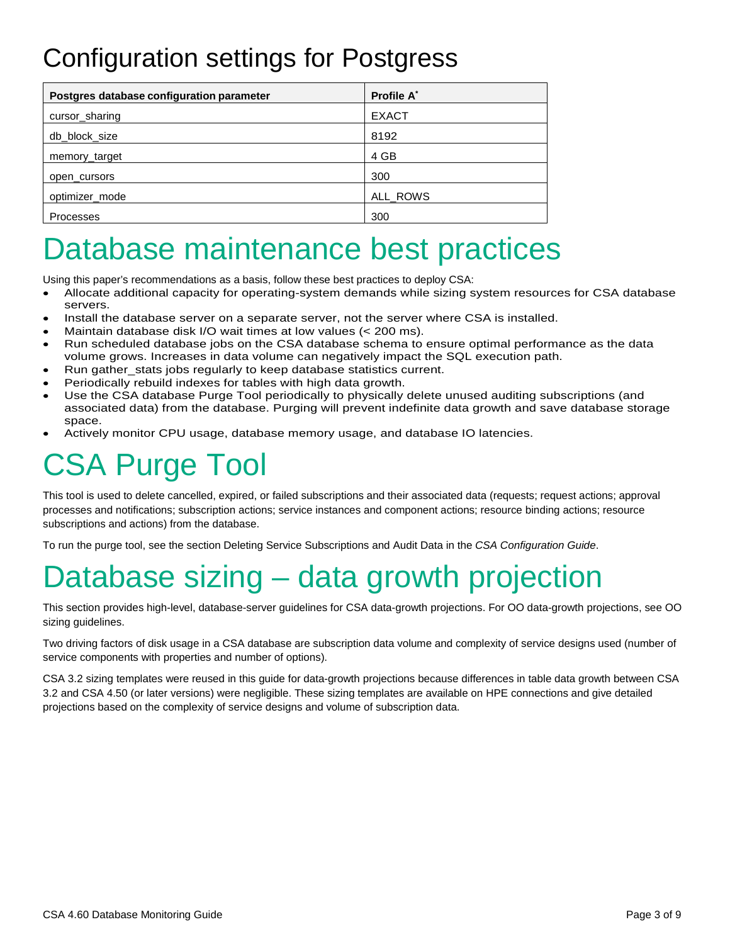### <span id="page-2-0"></span>Configuration settings for Postgress

| Postgres database configuration parameter | <b>Profile A<sup>*</sup></b> |
|-------------------------------------------|------------------------------|
| cursor_sharing                            | <b>EXACT</b>                 |
| db block size                             | 8192                         |
| memory_target                             | 4 GB                         |
| open cursors                              | 300                          |
| optimizer_mode                            | ALL_ROWS                     |
| Processes                                 | 300                          |

## <span id="page-2-1"></span>Database maintenance best practices

Using this paper's recommendations as a basis, follow these best practices to deploy CSA:

- Allocate additional capacity for operating-system demands while sizing system resources for CSA database servers.
- Install the database server on a separate server, not the server where CSA is installed.
- Maintain database disk I/O wait times at low values (< 200 ms).
- Run scheduled database jobs on the CSA database schema to ensure optimal performance as the data volume grows. Increases in data volume can negatively impact the SQL execution path.
- Run gather\_stats jobs regularly to keep database statistics current.
- Periodically rebuild indexes for tables with high data growth.
- Use the CSA database Purge Tool periodically to physically delete unused auditing subscriptions (and associated data) from the database. Purging will prevent indefinite data growth and save database storage space.
- Actively monitor CPU usage, database memory usage, and database IO latencies.

# <span id="page-2-2"></span>CSA Purge Tool

This tool is used to delete cancelled, expired, or failed subscriptions and their associated data (requests; request actions; approval processes and notifications; subscription actions; service instances and component actions; resource binding actions; resource subscriptions and actions) from the database.

To run the purge tool, see the section Deleting Service Subscriptions and Audit Data in the *CSA Configuration Guide*.

# <span id="page-2-3"></span>Database sizing – data growth projection

This section provides high-level, database-server guidelines for CSA data-growth projections. For OO data-growth projections, see OO sizing guidelines.

Two driving factors of disk usage in a CSA database are subscription data volume and complexity of service designs used (number of service components with properties and number of options).

CSA 3.2 sizing templates were reused in this guide for data-growth projections because differences in table data growth between CSA 3.2 and CSA 4.50 (or later versions) were negligible. These sizing templates are available on HPE connections and give detailed projections based on the complexity of service designs and volume of subscription data.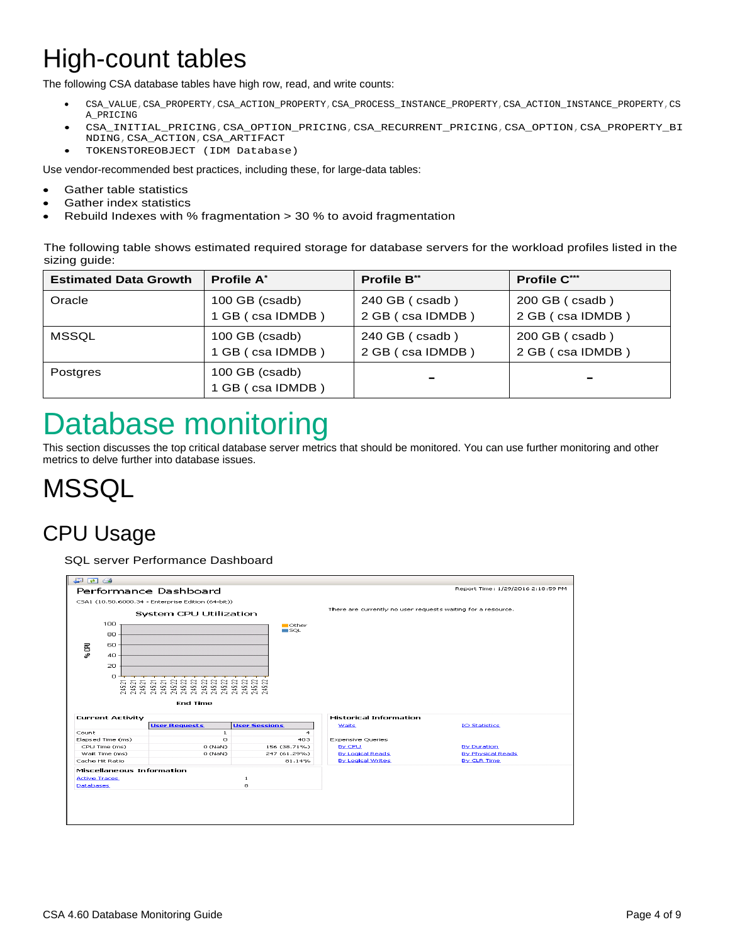## <span id="page-3-0"></span>High-count tables

The following CSA database tables have high row, read, and write counts:

- CSA\_VALUE,CSA\_PROPERTY,CSA\_ACTION\_PROPERTY,CSA\_PROCESS\_INSTANCE\_PROPERTY,CSA\_ACTION\_INSTANCE\_PROPERTY,CS A\_PRICING
- CSA\_INITIAL\_PRICING,CSA\_OPTION\_PRICING,CSA\_RECURRENT\_PRICING,CSA\_OPTION,CSA\_PROPERTY\_BI NDING,CSA\_ACTION,CSA\_ARTIFACT
- TOKENSTOREOBJECT (IDM Database)

Use vendor-recommended best practices, including these, for large-data tables:

- Gather table statistics
- Gather index statistics
- Rebuild Indexes with % fragmentation > 30 % to avoid fragmentation

The following table shows estimated required storage for database servers for the workload profiles listed in the sizing guide:

| <b>Estimated Data Growth</b> | <b>Profile A<sup>*</sup></b>       | <b>Profile B**</b> | <b>Profile C***</b> |
|------------------------------|------------------------------------|--------------------|---------------------|
| Oracle                       | 100 GB (csadb)                     | $240$ GB (csadb)   | $200$ GB (csadb)    |
|                              | 1 GB (csa IDMDB)                   | 2 GB (csa IDMDB)   | 2 GB (csa IDMDB)    |
| MSSQL                        | 100 GB (csadb)                     | $240$ GB (csadb)   | $200$ GB (csadb)    |
|                              | 1 GB (csa IDMDB)                   | 2 GB (csa IDMDB)   | 2 GB (csa IDMDB)    |
| <b>Postgres</b>              | 100 GB (csadb)<br>1 GB (csa IDMDB) | and i              | $\sim$              |

## <span id="page-3-1"></span>Database monitoring

This section discusses the top critical database server metrics that should be monitored. You can use further monitoring and other metrics to delve further into database issues.

### <span id="page-3-2"></span>**MSSQL**

### CPU Usage

SQL server Performance Dashboard

| 早回台                                                                          |                                                                                           |                                    |                                                              |                                   |
|------------------------------------------------------------------------------|-------------------------------------------------------------------------------------------|------------------------------------|--------------------------------------------------------------|-----------------------------------|
|                                                                              | Performance Dashboard                                                                     |                                    |                                                              | Report Time: 1/29/2016 2:18:59 PM |
|                                                                              | CSA1 (10.50.6000.34 - Enterprise Edition (64-bit))                                        |                                    |                                                              |                                   |
|                                                                              | System CPU Utilization                                                                    |                                    | There are currently no user requests waiting for a resource. |                                   |
| 100<br>80<br>‰CPU<br>60<br>40<br>20<br>n                                     | A A A A A A A A A A A A A A A A A<br>A A A A A A A A A A A A A A A A A<br><b>End Time</b> | <b>Other</b><br>$\blacksquare$ SQL |                                                              |                                   |
| <b>Current Activity</b>                                                      |                                                                                           |                                    | <b>Historical Information</b>                                |                                   |
|                                                                              | <b>User Requests</b>                                                                      | <b>User Sessions</b>               | <b>Waits</b>                                                 | <b>IO Statistics</b>              |
| Count                                                                        | $\mathbf{1}$                                                                              | $\overline{a}$                     |                                                              |                                   |
| Elapsed Time (ms)                                                            | O.                                                                                        | 403                                | <b>Expensive Queries</b>                                     |                                   |
| CPU Time (ms)                                                                | $0$ (NaN)                                                                                 | 156 (38.71%)                       | By CPU                                                       | By Duration                       |
| Wait Time (ms)<br>Cache Hit Ratio                                            | O(NaN)                                                                                    | 247 (61.29%)<br>81.14%             | By Logical Reads<br><b>By Logical Writes</b>                 | By Physical Reads<br>By CLR Time  |
| <b>Miscellaneous Information</b><br><b>Active Traces</b><br><b>Databases</b> |                                                                                           | 1<br>s                             |                                                              |                                   |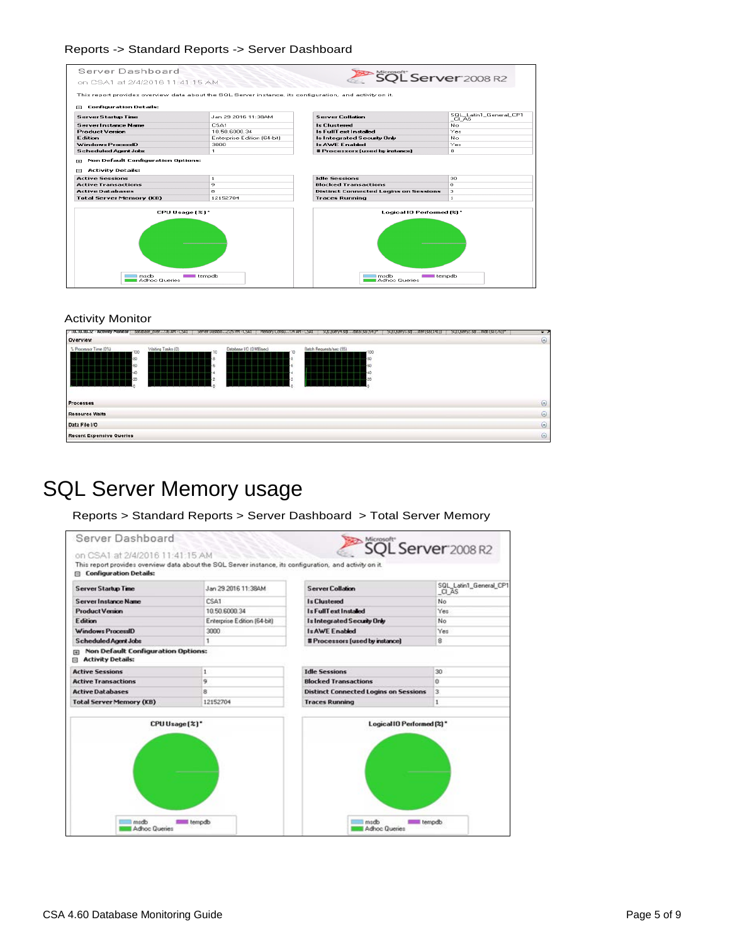#### Reports -> Standard Reports -> Server Dashboard

| Server Dashboard                                      |                                                                                                          | SQL Server 2008 R2                                                          |                                  |
|-------------------------------------------------------|----------------------------------------------------------------------------------------------------------|-----------------------------------------------------------------------------|----------------------------------|
| on CSA1 at 2/4/2016 11:41:15 AM                       |                                                                                                          |                                                                             |                                  |
| <b>Configuration Details:</b><br>г-                   | This report provides overview data about the SQL Server instance, its configuration, and activity on it. |                                                                             |                                  |
| <b>Server Startup Time</b>                            | Jan 29 2016 11:38AM                                                                                      | <b>Server Collation</b>                                                     | SQL_Latin1_General_CP1<br>_Cl_AS |
| <b>Server Instance Name</b>                           | CSA1                                                                                                     | <b>Is Clustered</b>                                                         | No.                              |
| <b>Product Version</b>                                | 10.50.6000.34                                                                                            | <b>Is FullText Installed</b>                                                | Yes                              |
| <b>Edition</b>                                        | Enterprise Edition (64-bit)                                                                              | <b>Is Integrated Security Only</b>                                          | No.                              |
| Windows ProcessID                                     | 3000                                                                                                     | <b>Is AWE Enabled</b>                                                       | Yes                              |
| <b>Scheduled Agent Jobs</b>                           | 1                                                                                                        | # Processors fused by instancel                                             | 8.                               |
| <b>Active Transactions</b><br><b>Active Databases</b> | ٠<br>a                                                                                                   | <b>Blocked Transactions</b><br><b>Distinct Connected Logins on Sessions</b> | Ω.<br>э                          |
|                                                       |                                                                                                          |                                                                             |                                  |
| <b>Total Server Memory (KB)</b>                       | 12152704                                                                                                 | <b>Traces Running</b>                                                       | $\mathbf{1}$                     |
| CPU Usage [%]*                                        |                                                                                                          | Logical IO Performed [%] *                                                  |                                  |
| msdh<br>Adhoc Queries                                 | tempdb                                                                                                   | madh<br>Adhoc Queries                                                       | tempdb                           |

#### Activity Monitor

| / 10.10.10.32 - Activity Monitor                        | Gatabase_over:36 AM - CSA1 | Server Dashbo2125 FM - CSA1 | Plemoty Consu:39 AM - CSA1<br>2000004/478<br>. data (sa 1541)'' | SULQuery3.sql  ster (sa (141)) | SULOURY2.50  mdb (55 (76))* | $\cdot$ , |
|---------------------------------------------------------|----------------------------|-----------------------------|-----------------------------------------------------------------|--------------------------------|-----------------------------|-----------|
| Overview                                                |                            |                             |                                                                 |                                |                             | $\odot$   |
| % Processor Time (0%)<br>100<br>80<br>60<br>40<br>$-20$ | Waiting Tasks (0)          | Database I/O (0 MB/sec)     | Batch Requests/sec (55)<br>100<br>-60                           |                                |                             |           |
| Processes                                               |                            |                             |                                                                 |                                |                             | $\odot$   |
| <b>Resource Waits</b>                                   |                            |                             |                                                                 |                                |                             | $\odot$   |
| Data File I/O                                           |                            |                             |                                                                 |                                |                             | $\odot$   |
| <b>Recent Expensive Queries</b>                         |                            |                             |                                                                 |                                |                             | $\odot$   |

### SQL Server Memory usage

Reports > Standard Reports > Server Dashboard > Total Server Memory

| <b>Server Startup Time</b>                                          | Jan 29 2016 11:38AM         | <b>Server Collation</b>                      | SQL_Latin1_General_CP1<br>CI AS |
|---------------------------------------------------------------------|-----------------------------|----------------------------------------------|---------------------------------|
| <b>Server Instance Name</b>                                         | CSA1                        | <b>Is Clustered</b>                          | No                              |
| <b>ProductVersion</b>                                               | 10.50.6000.34               | <b>Is FullText Installed</b>                 | Yes                             |
| <b>Edition</b>                                                      | Enterprise Edition (64-bit) | Is Integrated Security Only                  | No                              |
| Windows ProcessID                                                   | 3000                        | <b>Is AWE Enabled</b>                        | Yes                             |
| <b>Scheduled Agent Jobs</b>                                         | ٦                           | # Processors (used by instance)              | 8                               |
| <b>Non Default Configuration Options:</b><br>m<br>Activity Details: |                             |                                              |                                 |
| <b>Active Sessions</b>                                              | 1                           | <b>Idle Sessions</b>                         | 30                              |
| <b>Active Transactions</b>                                          | 9                           | <b>Blocked Transactions</b>                  | o                               |
| <b>Active Databases</b>                                             | 8                           | <b>Distinct Connected Logins on Sessions</b> | 3                               |
| <b>Total Server Memory (KB)</b>                                     | 12152704                    | <b>Traces Running</b>                        | $\,$ 1 $\,$                     |
|                                                                     |                             |                                              |                                 |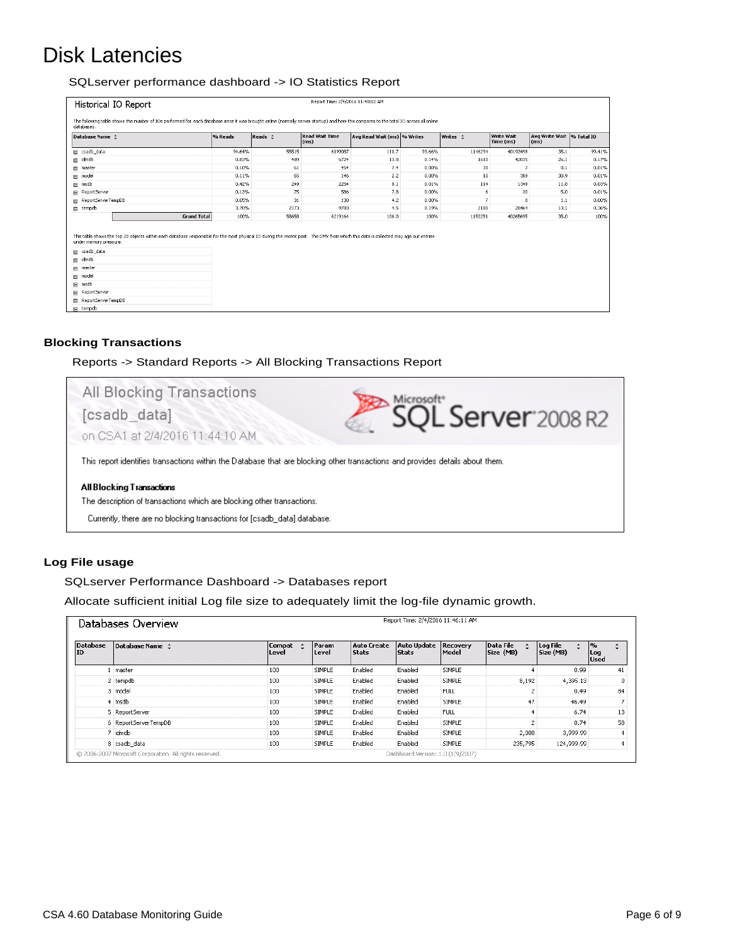### Disk Latencies

#### SQLserver performance dashboard -> IO Statistics Report

| Historical IO Report                                                                                                                                                                                                              |         |         | Report Time: 2/4/2016 11:40:02 AM |                             |          |          |                         |                                                 |        |
|-----------------------------------------------------------------------------------------------------------------------------------------------------------------------------------------------------------------------------------|---------|---------|-----------------------------------|-----------------------------|----------|----------|-------------------------|-------------------------------------------------|--------|
| The following table shows the number of IOs performed for each database since it was brought online (normally server startup) and how this compares to the total IO across all online<br>databases.                               |         |         |                                   |                             |          |          |                         |                                                 |        |
| Database Name $\div$                                                                                                                                                                                                              | % Reads | Reads : | <b>Read Wait Time</b><br>(ms)     | Avg Read Wait (ms) % Writes |          | Writes : | Write Wait<br>Time (ms) | Avg Write Wait 96 Total IO<br>(m <sub>s</sub> ) |        |
| Fi csadb data                                                                                                                                                                                                                     | 94.64%  | 55515   | 6199087                           | 111.7                       | 99.66%   | 1146294  | 40193498                | 35.1                                            | 99.41% |
| Fi idmdb                                                                                                                                                                                                                          | 0.83%   | 489     | 6724                              | 13.8                        | 0.14%    | 1610     | 42035                   | 26.1                                            | 0.17%  |
| Im master                                                                                                                                                                                                                         | 0.10%   | 61      | 454                               | 7.4                         | $0.00\%$ | 30       | $\overline{c}$          | 0.1                                             | 0.01%  |
| E model                                                                                                                                                                                                                           | 0.11%   | 65      | 146                               | 2.2                         | $0.00\%$ | 10       | 309                     | 30.9                                            | 0.01%  |
| 国 msdb                                                                                                                                                                                                                            | 0.42%   | 249     | 2254                              | 9.1                         | 0.01%    | 114      | 1349                    | 11.8                                            | 0.03%  |
| <b>ReportServer</b>                                                                                                                                                                                                               | 0.13%   | 75      | 586                               | 7.8                         | 0.00%    | 6        | 30                      | 5.0                                             | 0.01%  |
| ReportServerTempDB                                                                                                                                                                                                                | 0.05%   | 31      | 130                               | 4.2                         | $0.00\%$ | 7        | 8                       | 1.1                                             | 0.00%  |
| E tempdb                                                                                                                                                                                                                          | 3.70%   | 2173    | 9783                              | 4.5                         | 0.19%    | 2180     | 28464                   | 13.1                                            | 0.36%  |
| <b>Grand Total</b>                                                                                                                                                                                                                | 100%    | 58658   | 6219164                           | 106.0                       | 100%     | 1150251  | 40265695                | 35.0                                            | 100%   |
| This table shows the top 20 objects within each database responsible for the most physical IO during the recent past. The DMV from which this data is collected may age out entries<br>under memory pressure.<br>Filip csadb_data |         |         |                                   |                             |          |          |                         |                                                 |        |
| Fig. idmdb                                                                                                                                                                                                                        |         |         |                                   |                             |          |          |                         |                                                 |        |
| Fill master<br>Filmodel                                                                                                                                                                                                           |         |         |                                   |                             |          |          |                         |                                                 |        |
| 图 msdb                                                                                                                                                                                                                            |         |         |                                   |                             |          |          |                         |                                                 |        |
| ReportServer                                                                                                                                                                                                                      |         |         |                                   |                             |          |          |                         |                                                 |        |
| ReportServerTempDB                                                                                                                                                                                                                |         |         |                                   |                             |          |          |                         |                                                 |        |
| E tempdb                                                                                                                                                                                                                          |         |         |                                   |                             |          |          |                         |                                                 |        |

#### **Blocking Transactions**

Reports -> Standard Reports -> All Blocking Transactions Report



#### **Log File usage**

SQLserver Performance Dashboard -> Databases report

Allocate sufficient initial Log file size to adequately limit the log-file dynamic growth.

|                | Databases Overview         |                 |                |                      | Report Time: 2/4/2016 11:46:11 AM  |                          |                        |                       |                                    |
|----------------|----------------------------|-----------------|----------------|----------------------|------------------------------------|--------------------------|------------------------|-----------------------|------------------------------------|
| Database<br>ID | Database Name <sup>+</sup> | Compat<br>Level | Param<br>Level | Auto Create<br>Stats | <b>Auto Update</b><br><b>Stats</b> | <b>Recovery</b><br>Model | Data File<br>Size (MB) | Log File<br>Size (MB) | $ n_0 $<br>÷<br>Log<br><b>Used</b> |
|                | Imaster                    | 100             | <b>SIMPLE</b>  | Enabled              | Enabled                            | SIMPLE                   | $\overline{4}$         | 0.99                  | 41                                 |
|                | 2 tempdb                   | 100             | <b>SIMPLE</b>  | Enabled              | Enabled                            | SIMPLE                   | 8,192                  | 4,395.13              | 0                                  |
|                | 3 model                    | 100             | <b>SIMPLE</b>  | Enabled              | Enabled                            | <b>FULL</b>              | $\overline{2}$         | 0.49                  | 84                                 |
|                | 4 msdb                     | 100             | <b>SIMPLE</b>  | Enabled              | Enabled                            | SIMPLE                   | 47                     | 46.49                 |                                    |
|                | 5 ReportServer             | 100             | SIMPLE         | Enabled              | Enabled                            | <b>FULL</b>              |                        | 6.74                  | 13                                 |
|                | 6 ReportServerTempDB       | 100             | SIMPLE         | Enabled              | Enabled                            | SIMPLE                   | $\overline{2}$         | 0.74                  | 58                                 |
|                | 7 idmdb                    | 100             | SIMPLE         | Enabled              | Enabled                            | SIMPLE                   | 2,000                  | 3,999.99              |                                    |
|                | 8 csadb data               | 100             | SIMPLE         | Enabled              | Enabled                            | <b>SIMPLE</b>            | 235,795                | 124,999,99            | 4                                  |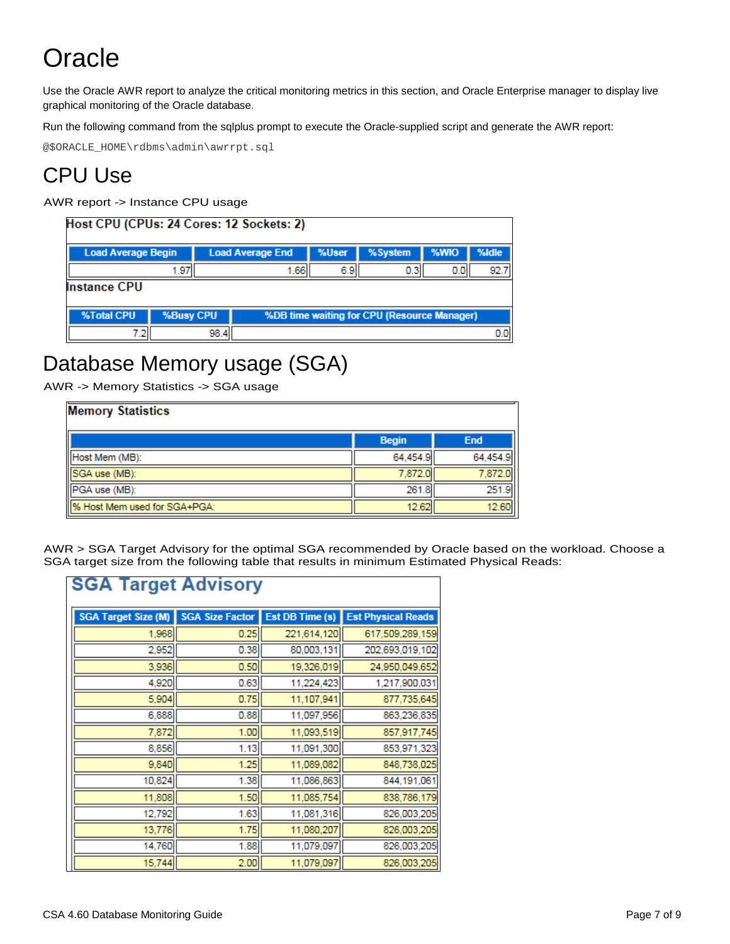## <span id="page-6-0"></span>**Oracle**

Use the Oracle AWR report to analyze the critical monitoring metrics in this section, and Oracle Enterprise manager to display live graphical monitoring of the Oracle database.

Run the following command from the sqlplus prompt to execute the Oracle-supplied script and generate the AWR report:

@\$ORACLE\_HOME\rdbms\admin\awrrpt.sql

### CPU Use

AWR report -> Instance CPU usage

| Host CPU (CPUs: 24 Cores: 12 Sockets: 2) |           |                         |                                             |       |                  |      |       |  |  |
|------------------------------------------|-----------|-------------------------|---------------------------------------------|-------|------------------|------|-------|--|--|
| <b>Load Average Begin</b>                |           | <b>Load Average End</b> |                                             | %User | %System          | %WIO | %Idle |  |  |
|                                          | 1.97      |                         | 1.66                                        | 6.9   | 0.3 <sub>1</sub> | 0.01 | 92.7  |  |  |
| <b>Instance CPU</b>                      |           |                         |                                             |       |                  |      |       |  |  |
| %Total CPU                               | %Busy CPU |                         | %DB time waiting for CPU (Resource Manager) |       |                  |      |       |  |  |
|                                          |           | 98.4                    |                                             |       |                  |      | 00    |  |  |

#### Database Memory usage (SGA)

AWR -> Memory Statistics -> SGA usage

| <b>Memory Statistics</b>       |              |            |  |  |  |  |
|--------------------------------|--------------|------------|--|--|--|--|
|                                | <b>Begin</b> | <b>End</b> |  |  |  |  |
| Host Mem (MB):                 | 64.454.9     | 64.454.9   |  |  |  |  |
| SGA use (MB):                  | 7.872.0      | 7.872.     |  |  |  |  |
| PGA use (MB):                  | 261.8        | 251.9      |  |  |  |  |
| 19% Host Mem used for SGA+PGA: | 12.62        | 12.60      |  |  |  |  |

AWR > SGA Target Advisory for the optimal SGA recommended by Oracle based on the workload. Choose a SGA target size from the following table that results in minimum Estimated Physical Reads:

| <b>SGA Target Advisory</b> |                        |                 |                           |  |  |  |  |
|----------------------------|------------------------|-----------------|---------------------------|--|--|--|--|
| SGA Target Size (M)        | <b>SGA Size Factor</b> | Est DB Time (s) | <b>Est Physical Reads</b> |  |  |  |  |
| 1,968                      | 0.25                   | 221,614,120     | 617,509,289,159           |  |  |  |  |
| 2,952                      | 0.38                   | 80,003,131      | 202,693,019,102           |  |  |  |  |
| 3,936                      | 0.50                   | 19,326,019      | 24,950,049,652            |  |  |  |  |
| 4,920                      | 0.63                   | 11,224,423      | 1,217,900,031             |  |  |  |  |
| 5,904                      | 0.75                   | 11,107,941      | 877,735,645               |  |  |  |  |
| 6,888                      | 0.88                   | 11,097,956      | 863,236,835               |  |  |  |  |
| 7,872                      | 1.00                   | 11,093,519      | 857,917,745               |  |  |  |  |
| 8,856                      | 1.13                   | 11,091,300      | 853,971,323               |  |  |  |  |
| 9,840                      | 1.25                   | 11,089,082      | 848,738,025               |  |  |  |  |
| 10,824                     | 1.38                   | 11,086,863      | 844, 191, 061             |  |  |  |  |
| 11,808                     | 1.50                   | 11,085,754      | 838,786,179               |  |  |  |  |
| 12,792                     | 1.63                   | 11,081,316      | 826,003,205               |  |  |  |  |
| 13,776                     | 1.75                   | 11,080,207      | 826,003,205               |  |  |  |  |
| 14,760                     | 1.88                   | 11,079,097      | 826,003,205               |  |  |  |  |
| 15,744                     | 2.00                   | 11,079,097      | 826,003,205               |  |  |  |  |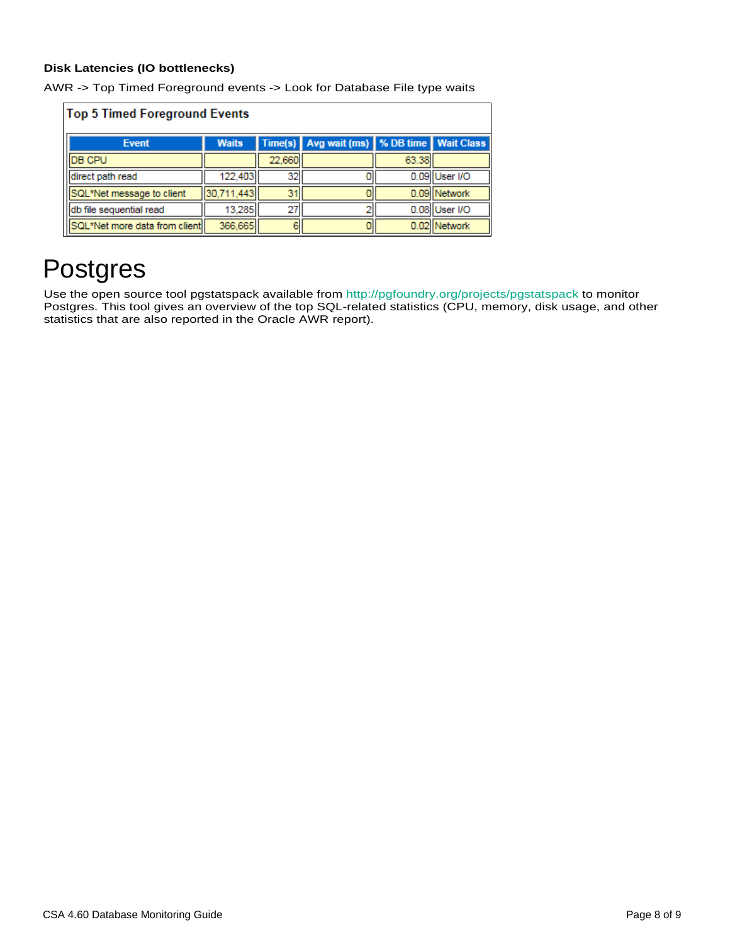#### **Disk Latencies (IO bottlenecks)**

|  |  |  |  |  |  | AWR -> Top Timed Foreground events -> Look for Database File type waits |
|--|--|--|--|--|--|-------------------------------------------------------------------------|
|--|--|--|--|--|--|-------------------------------------------------------------------------|

| <b>Top 5 Timed Foreground Events</b> |              |        |                                            |       |               |  |  |
|--------------------------------------|--------------|--------|--------------------------------------------|-------|---------------|--|--|
| <b>Event</b>                         | <b>Waits</b> |        | Time(s) Avg wait (ms) % DB time Wait Class |       |               |  |  |
| <b>IDB CPU</b>                       |              | 22,660 |                                            | 63.38 |               |  |  |
| direct path read                     | 122,403      | 32     |                                            |       | 0.09 User I/O |  |  |
| SQL*Net message to client            | 30,711,443   | 31     |                                            |       | 0.09 Network  |  |  |
| db file sequential read              | 13,285       | 27     |                                            |       | 0.08 User I/O |  |  |
| SQL*Net more data from client        | 366,665      | 6      |                                            |       | 0.02 Network  |  |  |

### <span id="page-7-0"></span>Postgres

Use the open source tool pgstatspack available from<http://pgfoundry.org/projects/pgstatspack> to monitor Postgres. This tool gives an overview of the top SQL-related statistics (CPU, memory, disk usage, and other statistics that are also reported in the Oracle AWR report).